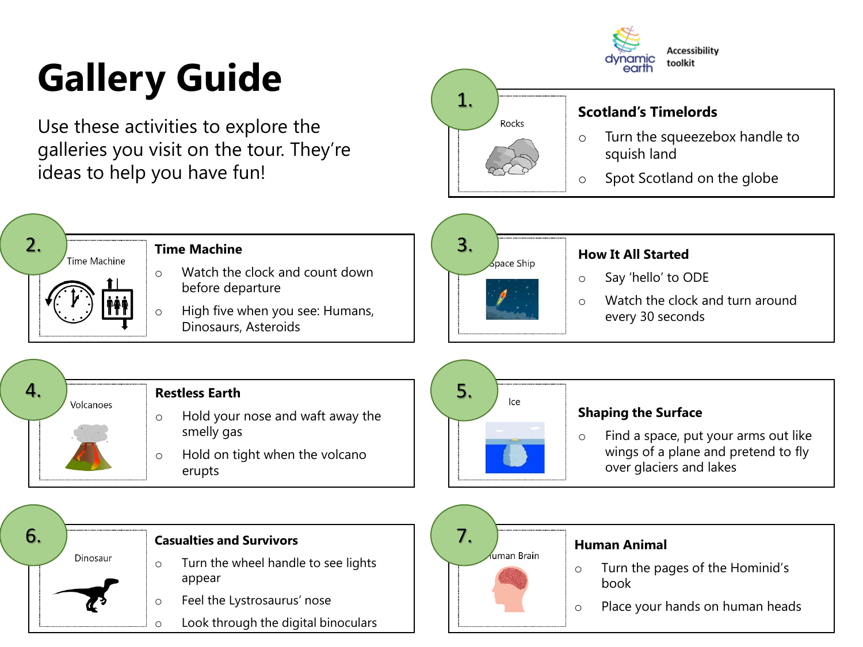## **Gallery Guide**

2.

Time Machine

Use these activities to explore the galleries you visit on the tour. They're ideas to help you have fun!

**Time Machine**

Watch the clock and count down



|           | <b>Tractle clock and count down</b><br>before departure<br>High five when you see: Humans,<br>$\circ$<br>Dinosaurs, Asteroids   | Say 'hello' to ODE<br>$\circ$<br>Watch the clock and turn around<br>$\circ$<br>every 30 seconds                                   |
|-----------|---------------------------------------------------------------------------------------------------------------------------------|-----------------------------------------------------------------------------------------------------------------------------------|
| Volcanoes | <b>Restless Earth</b><br>Hold your nose and waft away the<br>$\circ$<br>smelly gas<br>Hold on tight when the volcano<br>$\circ$ | 5.<br>lce<br><b>Shaping the Surface</b><br>Find a space, put your arms out like<br>$\circ$<br>wings of a plane and pretend to fly |
|           | erupts                                                                                                                          | over glaciers and lakes                                                                                                           |